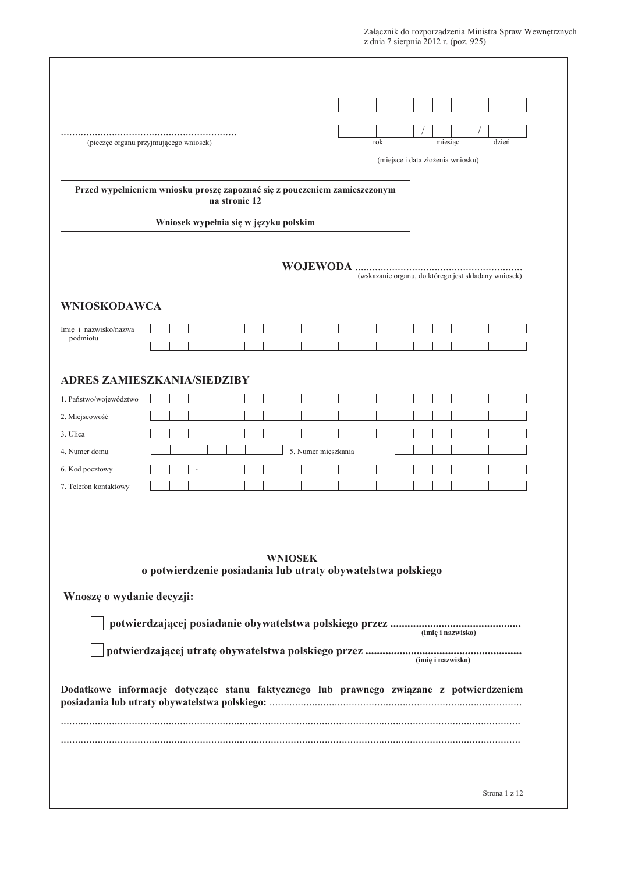| (pieczęć organu przyjmującego wniosek)<br>Przed wypełnieniem wniosku proszę zapoznać się z pouczeniem zamieszczonym<br>na stronie 12<br>Wniosek wypełnia się w języku polskim |                     | rok | (miejsce i data złożenia wniosku) | miesiąc           | dzień                                                |
|-------------------------------------------------------------------------------------------------------------------------------------------------------------------------------|---------------------|-----|-----------------------------------|-------------------|------------------------------------------------------|
|                                                                                                                                                                               |                     |     |                                   |                   |                                                      |
|                                                                                                                                                                               |                     |     |                                   |                   |                                                      |
|                                                                                                                                                                               |                     |     |                                   |                   |                                                      |
|                                                                                                                                                                               |                     |     |                                   |                   |                                                      |
|                                                                                                                                                                               |                     |     |                                   |                   |                                                      |
|                                                                                                                                                                               |                     |     |                                   |                   |                                                      |
|                                                                                                                                                                               |                     |     |                                   |                   | (wskazanie organu, do którego jest składany wniosek) |
|                                                                                                                                                                               |                     |     |                                   |                   |                                                      |
| <b>WNIOSKODAWCA</b>                                                                                                                                                           |                     |     |                                   |                   |                                                      |
| Imię i nazwisko/nazwa<br>podmiotu                                                                                                                                             |                     |     |                                   |                   |                                                      |
|                                                                                                                                                                               |                     |     |                                   |                   |                                                      |
| <b>ADRES ZAMIESZKANIA/SIEDZIBY</b>                                                                                                                                            |                     |     |                                   |                   |                                                      |
| 1. Państwo/województwo                                                                                                                                                        |                     |     |                                   |                   |                                                      |
| 2. Miejscowość                                                                                                                                                                |                     |     |                                   |                   |                                                      |
| 3. Ulica                                                                                                                                                                      |                     |     |                                   |                   |                                                      |
| 4. Numer domu                                                                                                                                                                 | 5. Numer mieszkania |     |                                   |                   |                                                      |
| 6. Kod pocztowy                                                                                                                                                               |                     |     |                                   |                   |                                                      |
| 7. Telefon kontaktowy                                                                                                                                                         |                     |     |                                   |                   |                                                      |
| <b>WNIOSEK</b><br>o potwierdzenie posiadania lub utraty obywatelstwa polskiego                                                                                                |                     |     |                                   |                   |                                                      |
| Wnoszę o wydanie decyzji:                                                                                                                                                     |                     |     |                                   |                   |                                                      |
|                                                                                                                                                                               |                     |     |                                   |                   |                                                      |
|                                                                                                                                                                               |                     |     |                                   | (imie i nazwisko) |                                                      |
|                                                                                                                                                                               |                     |     |                                   | (imię i nazwisko) |                                                      |
|                                                                                                                                                                               |                     |     |                                   |                   |                                                      |
| Dodatkowe informacje dotyczące stanu faktycznego lub prawnego związane z potwierdzeniem                                                                                       |                     |     |                                   |                   |                                                      |
|                                                                                                                                                                               |                     |     |                                   |                   |                                                      |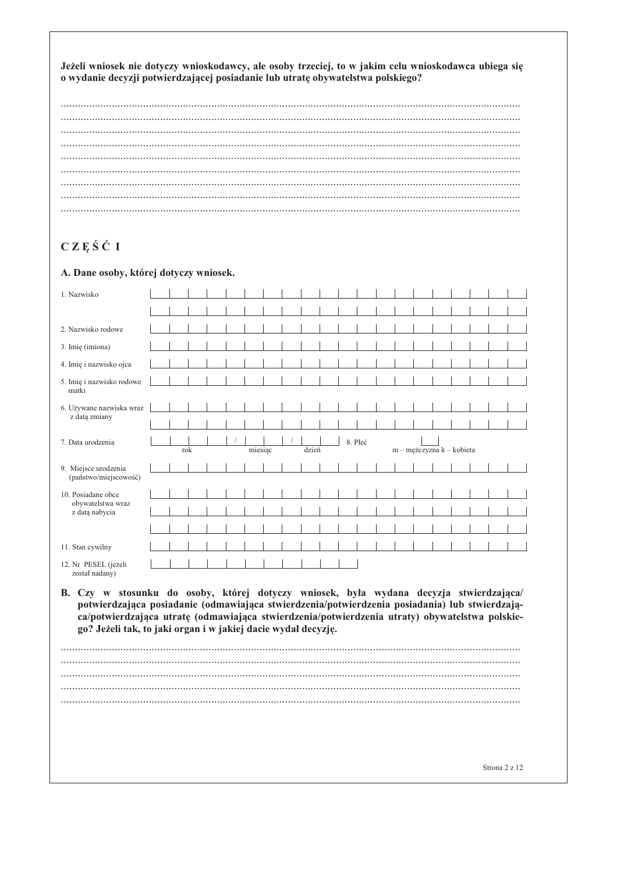Jeżeli wniosek nie dotyczy wnioskodawcy, ale osoby trzeciej, to w jakim celu wnioskodawca ubiega się o wydanie decyzji potwierdzającej posiadanie lub utratę obywatelstwa polskiego?

# CZĘŚĆ I

#### A. Dane osoby, której dotyczy wniosek.

| 1. Nazwisko                                                                                                                                                                                                                                                                                                                                                 |  |     |  |         |  |       |         |  |  |                           |  |               |  |
|-------------------------------------------------------------------------------------------------------------------------------------------------------------------------------------------------------------------------------------------------------------------------------------------------------------------------------------------------------------|--|-----|--|---------|--|-------|---------|--|--|---------------------------|--|---------------|--|
|                                                                                                                                                                                                                                                                                                                                                             |  |     |  |         |  |       |         |  |  |                           |  |               |  |
| 2. Nazwisko rodowe                                                                                                                                                                                                                                                                                                                                          |  |     |  |         |  |       |         |  |  |                           |  |               |  |
| 3. Imię (imiona)                                                                                                                                                                                                                                                                                                                                            |  |     |  |         |  |       |         |  |  |                           |  |               |  |
| 4. Imię i nazwisko ojca                                                                                                                                                                                                                                                                                                                                     |  |     |  |         |  |       |         |  |  |                           |  |               |  |
| 5. Imię i nazwisko rodowe<br>matki                                                                                                                                                                                                                                                                                                                          |  |     |  |         |  |       |         |  |  |                           |  |               |  |
| 6. Używane nazwiska wraz                                                                                                                                                                                                                                                                                                                                    |  |     |  |         |  |       |         |  |  |                           |  |               |  |
| z datą zmiany                                                                                                                                                                                                                                                                                                                                               |  |     |  |         |  |       |         |  |  |                           |  |               |  |
| 7. Data urodzenia                                                                                                                                                                                                                                                                                                                                           |  | rok |  | miesiac |  | dzień | 8. Płeć |  |  |                           |  |               |  |
|                                                                                                                                                                                                                                                                                                                                                             |  |     |  |         |  |       |         |  |  | m - mężczyzna k - kobieta |  |               |  |
| 9. Miejsce urodzenia<br>(państwo/miejscowość)                                                                                                                                                                                                                                                                                                               |  |     |  |         |  |       |         |  |  |                           |  |               |  |
| 10. Posiadane obce                                                                                                                                                                                                                                                                                                                                          |  |     |  |         |  |       |         |  |  |                           |  |               |  |
| obywatelstwa wraz<br>z datą nabycia                                                                                                                                                                                                                                                                                                                         |  |     |  |         |  |       |         |  |  |                           |  |               |  |
|                                                                                                                                                                                                                                                                                                                                                             |  |     |  |         |  |       |         |  |  |                           |  |               |  |
| 11. Stan cywilny                                                                                                                                                                                                                                                                                                                                            |  |     |  |         |  |       |         |  |  |                           |  |               |  |
| 12. Nr PESEL (jeżeli<br>został nadany)                                                                                                                                                                                                                                                                                                                      |  |     |  |         |  |       |         |  |  |                           |  |               |  |
| B. Czy w stosunku do osoby, której dotyczy wniosek, była wydana decyzja stwierdzająca/<br>potwierdzająca posiadanie (odmawiająca stwierdzenia/potwierdzenia posiadania) lub stwierdzają-<br>ca/potwierdzająca utratę (odmawiająca stwierdzenia/potwierdzenia utraty) obywatelstwa polskie-<br>go? Jeżeli tak, to jaki organ i w jakiej dacie wydał decyzję. |  |     |  |         |  |       |         |  |  |                           |  |               |  |
|                                                                                                                                                                                                                                                                                                                                                             |  |     |  |         |  |       |         |  |  |                           |  |               |  |
|                                                                                                                                                                                                                                                                                                                                                             |  |     |  |         |  |       |         |  |  |                           |  |               |  |
|                                                                                                                                                                                                                                                                                                                                                             |  |     |  |         |  |       |         |  |  |                           |  |               |  |
|                                                                                                                                                                                                                                                                                                                                                             |  |     |  |         |  |       |         |  |  |                           |  |               |  |
|                                                                                                                                                                                                                                                                                                                                                             |  |     |  |         |  |       |         |  |  |                           |  |               |  |
|                                                                                                                                                                                                                                                                                                                                                             |  |     |  |         |  |       |         |  |  |                           |  | Strona 2 z 12 |  |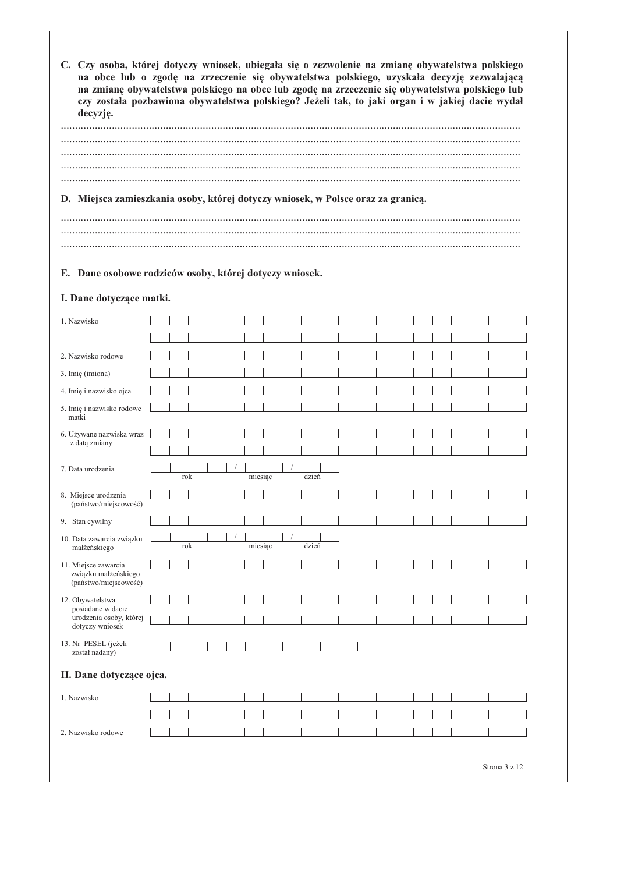C. Czy osoba, której dotyczy wniosek, ubiegała się o zezwolenie na zmianę obywatelstwa polskiego na obce lub o zgodę na zrzeczenie się obywatelstwa polskiego, uzyskała decyzję zezwalającą na zmianę obywatelstwa polskiego na obce lub zgodę na zrzeczenie się obywatelstwa polskiego lub czy została pozbawiona obywatelstwa polskiego? Jeżeli tak, to jaki organ i w jakiej dacie wydał decyzję.

| D. Miejsca zamieszkania osoby, której dotyczy wniosek, w Polsce oraz za granicą. |  |
|----------------------------------------------------------------------------------|--|
|                                                                                  |  |

#### E. Dane osobowe rodziców osoby, której dotyczy wniosek.

#### I. Dane dotyczące matki.

| 1. Nazwisko                                                           |  |     |  |         |  |       |  |  |  |  |  |  |
|-----------------------------------------------------------------------|--|-----|--|---------|--|-------|--|--|--|--|--|--|
|                                                                       |  |     |  |         |  |       |  |  |  |  |  |  |
| 2. Nazwisko rodowe                                                    |  |     |  |         |  |       |  |  |  |  |  |  |
| 3. Imię (imiona)                                                      |  |     |  |         |  |       |  |  |  |  |  |  |
| 4. Imię i nazwisko ojca                                               |  |     |  |         |  |       |  |  |  |  |  |  |
| 5. Imię i nazwisko rodowe<br>matki                                    |  |     |  |         |  |       |  |  |  |  |  |  |
| 6. Używane nazwiska wraz                                              |  |     |  |         |  |       |  |  |  |  |  |  |
| z datą zmiany                                                         |  |     |  |         |  |       |  |  |  |  |  |  |
| 7. Data urodzenia                                                     |  | rok |  | miesiąc |  | dzień |  |  |  |  |  |  |
| 8. Miejsce urodzenia<br>(państwo/miejscowość)                         |  |     |  |         |  |       |  |  |  |  |  |  |
| 9. Stan cywilny                                                       |  |     |  |         |  |       |  |  |  |  |  |  |
| 10. Data zawarcia związku<br>małżeńskiego                             |  | rok |  | miesiąc |  | dzień |  |  |  |  |  |  |
| 11. Miejsce zawarcia<br>związku małżeńskiego<br>(państwo/miejscowość) |  |     |  |         |  |       |  |  |  |  |  |  |
| 12. Obywatelstwa                                                      |  |     |  |         |  |       |  |  |  |  |  |  |
| posiadane w dacie<br>urodzenia osoby, której<br>dotyczy wniosek       |  |     |  |         |  |       |  |  |  |  |  |  |
| 13. Nr PESEL (jeżeli<br>został nadany)                                |  |     |  |         |  |       |  |  |  |  |  |  |
| II. Dane dotyczące ojca.                                              |  |     |  |         |  |       |  |  |  |  |  |  |
| 1. Nazwisko                                                           |  |     |  |         |  |       |  |  |  |  |  |  |
|                                                                       |  |     |  |         |  |       |  |  |  |  |  |  |
| 2. Nazwisko rodowe                                                    |  |     |  |         |  |       |  |  |  |  |  |  |
|                                                                       |  |     |  |         |  |       |  |  |  |  |  |  |

Strona 3 z 12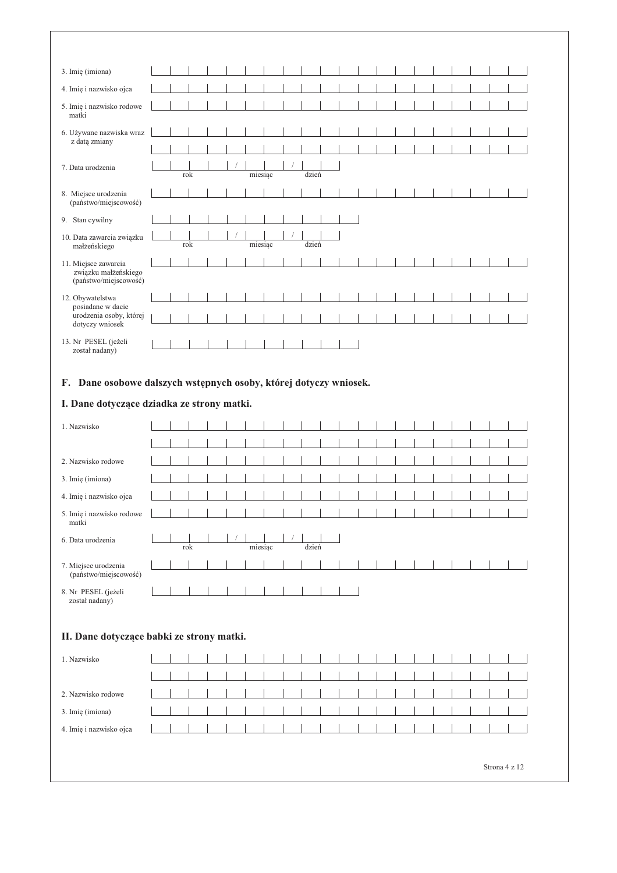| 3. Imię (imiona)                              |  |     |  |         |  |       |  |  |  |  |  |  |  |  |  |  |
|-----------------------------------------------|--|-----|--|---------|--|-------|--|--|--|--|--|--|--|--|--|--|
| 4. Imię i nazwisko ojca                       |  |     |  |         |  |       |  |  |  |  |  |  |  |  |  |  |
| 5. Imię i nazwisko rodowe<br>matki            |  |     |  |         |  |       |  |  |  |  |  |  |  |  |  |  |
| 6. Używane nazwiska wraz                      |  |     |  |         |  |       |  |  |  |  |  |  |  |  |  |  |
| z datą zmiany                                 |  |     |  |         |  |       |  |  |  |  |  |  |  |  |  |  |
| 7. Data urodzenia                             |  |     |  |         |  |       |  |  |  |  |  |  |  |  |  |  |
|                                               |  | rok |  | miesiąc |  | dzień |  |  |  |  |  |  |  |  |  |  |
| 8. Miejsce urodzenia<br>(państwo/miejscowość) |  |     |  |         |  |       |  |  |  |  |  |  |  |  |  |  |
|                                               |  |     |  |         |  |       |  |  |  |  |  |  |  |  |  |  |
| 9. Stan cywilny                               |  |     |  |         |  |       |  |  |  |  |  |  |  |  |  |  |
| 10. Data zawarcia związku<br>małżeńskiego     |  | rok |  | miesiąc |  | dzień |  |  |  |  |  |  |  |  |  |  |
| 11. Miejsce zawarcia                          |  |     |  |         |  |       |  |  |  |  |  |  |  |  |  |  |
| związku małżeńskiego<br>(państwo/miejscowość) |  |     |  |         |  |       |  |  |  |  |  |  |  |  |  |  |
| 12. Obywatelstwa                              |  |     |  |         |  |       |  |  |  |  |  |  |  |  |  |  |
| posiadane w dacie<br>urodzenia osoby, której  |  |     |  |         |  |       |  |  |  |  |  |  |  |  |  |  |
| dotyczy wniosek                               |  |     |  |         |  |       |  |  |  |  |  |  |  |  |  |  |
| 13. Nr PESEL (jeżeli                          |  |     |  |         |  |       |  |  |  |  |  |  |  |  |  |  |
| został nadany)                                |  |     |  |         |  |       |  |  |  |  |  |  |  |  |  |  |

### F. Dane osobowe dalszych wstępnych osoby, której dotyczy wniosek.

### I. Dane dotyczące dziadka ze strony matki.

| 1. Nazwisko                           |     |  |         |  |       |  |  |  |  |  |  |  |  |  |  |
|---------------------------------------|-----|--|---------|--|-------|--|--|--|--|--|--|--|--|--|--|
|                                       |     |  |         |  |       |  |  |  |  |  |  |  |  |  |  |
|                                       |     |  |         |  |       |  |  |  |  |  |  |  |  |  |  |
| 2. Nazwisko rodowe                    |     |  |         |  |       |  |  |  |  |  |  |  |  |  |  |
| 3. Imię (imiona)                      |     |  |         |  |       |  |  |  |  |  |  |  |  |  |  |
| 4. Imię i nazwisko ojca               |     |  |         |  |       |  |  |  |  |  |  |  |  |  |  |
| 5. Imię i nazwisko rodowe             |     |  |         |  |       |  |  |  |  |  |  |  |  |  |  |
| matki                                 |     |  |         |  |       |  |  |  |  |  |  |  |  |  |  |
| 6. Data urodzenia                     |     |  |         |  |       |  |  |  |  |  |  |  |  |  |  |
|                                       | rok |  | miesiąc |  | dzień |  |  |  |  |  |  |  |  |  |  |
| 7. Miejsce urodzenia                  |     |  |         |  |       |  |  |  |  |  |  |  |  |  |  |
| (państwo/miejscowość)                 |     |  |         |  |       |  |  |  |  |  |  |  |  |  |  |
| 8. Nr PESEL (jeżeli<br>został nadany) |     |  |         |  |       |  |  |  |  |  |  |  |  |  |  |

### II. Dane dotyczące babki ze strony matki.

| 1. Nazwisko             |  |                      |  |  |  |  |  |  |  |  |
|-------------------------|--|----------------------|--|--|--|--|--|--|--|--|
|                         |  |                      |  |  |  |  |  |  |  |  |
|                         |  |                      |  |  |  |  |  |  |  |  |
| 2. Nazwisko rodowe      |  |                      |  |  |  |  |  |  |  |  |
|                         |  |                      |  |  |  |  |  |  |  |  |
| 3. Imię (imiona)        |  |                      |  |  |  |  |  |  |  |  |
| 4. Imię i nazwisko ojca |  | <b>The Community</b> |  |  |  |  |  |  |  |  |
|                         |  |                      |  |  |  |  |  |  |  |  |
|                         |  |                      |  |  |  |  |  |  |  |  |

Strona 4 z 12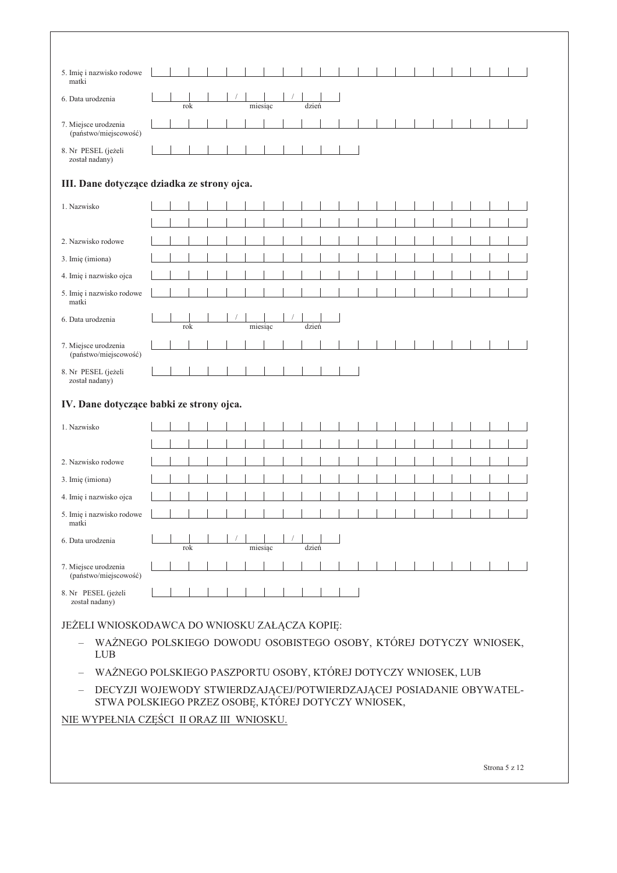| 5. Imię i nazwisko rodowe<br>matki                                                               |  |  |     |  |  |         |  |  |       |  |  |  |  |  |  |  |  |
|--------------------------------------------------------------------------------------------------|--|--|-----|--|--|---------|--|--|-------|--|--|--|--|--|--|--|--|
| 6. Data urodzenia                                                                                |  |  | rok |  |  | miesiąc |  |  | dzień |  |  |  |  |  |  |  |  |
| 7. Miejsce urodzenia<br>(państwo/miejscowość)                                                    |  |  |     |  |  |         |  |  |       |  |  |  |  |  |  |  |  |
| 8. Nr PESEL (jeżeli<br>został nadany)                                                            |  |  |     |  |  |         |  |  |       |  |  |  |  |  |  |  |  |
| III. Dane dotyczące dziadka ze strony ojca.                                                      |  |  |     |  |  |         |  |  |       |  |  |  |  |  |  |  |  |
| 1. Nazwisko                                                                                      |  |  |     |  |  |         |  |  |       |  |  |  |  |  |  |  |  |
|                                                                                                  |  |  |     |  |  |         |  |  |       |  |  |  |  |  |  |  |  |
| 2. Nazwisko rodowe                                                                               |  |  |     |  |  |         |  |  |       |  |  |  |  |  |  |  |  |
| 3. Imię (imiona)                                                                                 |  |  |     |  |  |         |  |  |       |  |  |  |  |  |  |  |  |
| 4. Imię i nazwisko ojca                                                                          |  |  |     |  |  |         |  |  |       |  |  |  |  |  |  |  |  |
| 5. Imię i nazwisko rodowe<br>matki                                                               |  |  |     |  |  |         |  |  |       |  |  |  |  |  |  |  |  |
| 6. Data urodzenia                                                                                |  |  |     |  |  |         |  |  |       |  |  |  |  |  |  |  |  |
|                                                                                                  |  |  | rok |  |  | miesiąc |  |  | dzień |  |  |  |  |  |  |  |  |
| 7. Miejsce urodzenia<br>(państwo/miejscowość)                                                    |  |  |     |  |  |         |  |  |       |  |  |  |  |  |  |  |  |
| 8. Nr PESEL (jeżeli<br>został nadany)                                                            |  |  |     |  |  |         |  |  |       |  |  |  |  |  |  |  |  |
| IV. Dane dotyczące babki ze strony ojca.                                                         |  |  |     |  |  |         |  |  |       |  |  |  |  |  |  |  |  |
|                                                                                                  |  |  |     |  |  |         |  |  |       |  |  |  |  |  |  |  |  |
| 1. Nazwisko                                                                                      |  |  |     |  |  |         |  |  |       |  |  |  |  |  |  |  |  |
|                                                                                                  |  |  |     |  |  |         |  |  |       |  |  |  |  |  |  |  |  |
| 2. Nazwisko rodowe                                                                               |  |  |     |  |  |         |  |  |       |  |  |  |  |  |  |  |  |
| 3. Imię (imiona)                                                                                 |  |  |     |  |  |         |  |  |       |  |  |  |  |  |  |  |  |
| 4. Imię i nazwisko ojca                                                                          |  |  |     |  |  |         |  |  |       |  |  |  |  |  |  |  |  |
| 5. Imię i nazwisko rodowe<br>matki                                                               |  |  |     |  |  |         |  |  |       |  |  |  |  |  |  |  |  |
| 6. Data urodzenia                                                                                |  |  | rok |  |  | miesiąc |  |  | dzień |  |  |  |  |  |  |  |  |
| 7. Miejsce urodzenia<br>(państwo/miejscowość)                                                    |  |  |     |  |  |         |  |  |       |  |  |  |  |  |  |  |  |
| 8. Nr PESEL (jeżeli<br>został nadany)                                                            |  |  |     |  |  |         |  |  |       |  |  |  |  |  |  |  |  |
| JEŻELI WNIOSKODAWCA DO WNIOSKU ZAŁĄCZA KOPIĘ:                                                    |  |  |     |  |  |         |  |  |       |  |  |  |  |  |  |  |  |
| WAŻNEGO POLSKIEGO DOWODU OSOBISTEGO OSOBY, KTÓREJ DOTYCZY WNIOSEK,<br><b>LUB</b>                 |  |  |     |  |  |         |  |  |       |  |  |  |  |  |  |  |  |
| WAŻNEGO POLSKIEGO PASZPORTU OSOBY, KTÓREJ DOTYCZY WNIOSEK, LUB                                   |  |  |     |  |  |         |  |  |       |  |  |  |  |  |  |  |  |
| DECYZJI WOJEWODY STWIERDZAJĄCEJ/POTWIERDZAJĄCEJ POSIADANIE OBYWATEL-<br>$\overline{\phantom{m}}$ |  |  |     |  |  |         |  |  |       |  |  |  |  |  |  |  |  |
| STWA POLSKIEGO PRZEZ OSOBĘ, KTÓREJ DOTYCZY WNIOSEK,                                              |  |  |     |  |  |         |  |  |       |  |  |  |  |  |  |  |  |
| NIE WYPEŁNIA CZĘŚCI II ORAZ III WNIOSKU.                                                         |  |  |     |  |  |         |  |  |       |  |  |  |  |  |  |  |  |
|                                                                                                  |  |  |     |  |  |         |  |  |       |  |  |  |  |  |  |  |  |

Strona 5 z 12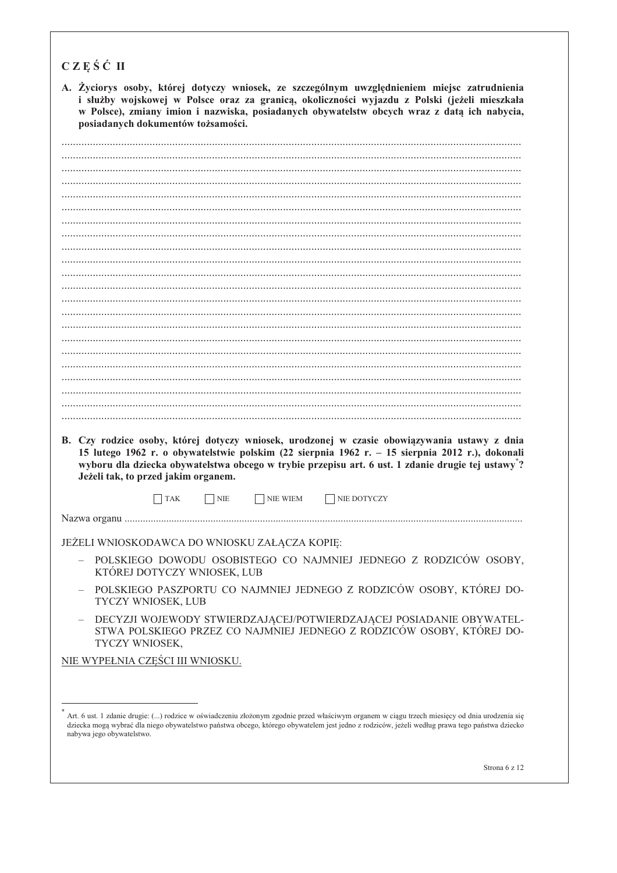| A. Žyciorys osoby, której dotyczy wniosek, ze szczególnym uwzględnieniem miejsc zatrudnienia<br>i służby wojskowej w Polsce oraz za granicą, okoliczności wyjazdu z Polski (jeżeli mieszkała<br>w Polsce), zmiany imion i nazwiska, posiadanych obywatelstw obcych wraz z datą ich nabycia,<br>posiadanych dokumentów tożsamości.           |
|---------------------------------------------------------------------------------------------------------------------------------------------------------------------------------------------------------------------------------------------------------------------------------------------------------------------------------------------|
|                                                                                                                                                                                                                                                                                                                                             |
|                                                                                                                                                                                                                                                                                                                                             |
|                                                                                                                                                                                                                                                                                                                                             |
|                                                                                                                                                                                                                                                                                                                                             |
|                                                                                                                                                                                                                                                                                                                                             |
|                                                                                                                                                                                                                                                                                                                                             |
|                                                                                                                                                                                                                                                                                                                                             |
|                                                                                                                                                                                                                                                                                                                                             |
|                                                                                                                                                                                                                                                                                                                                             |
|                                                                                                                                                                                                                                                                                                                                             |
|                                                                                                                                                                                                                                                                                                                                             |
|                                                                                                                                                                                                                                                                                                                                             |
|                                                                                                                                                                                                                                                                                                                                             |
|                                                                                                                                                                                                                                                                                                                                             |
|                                                                                                                                                                                                                                                                                                                                             |
|                                                                                                                                                                                                                                                                                                                                             |
|                                                                                                                                                                                                                                                                                                                                             |
|                                                                                                                                                                                                                                                                                                                                             |
|                                                                                                                                                                                                                                                                                                                                             |
| B. Czy rodzice osoby, której dotyczy wniosek, urodzonej w czasie obowiązywania ustawy z dnia<br>15 lutego 1962 r. o obywatelstwie polskim (22 sierpnia 1962 r. – 15 sierpnia 2012 r.), dokonali<br>wyboru dla dziecka obywatelstwa obcego w trybie przepisu art. 6 ust. 1 zdanie drugie tej ustawy"?<br>Jeżeli tak, to przed jakim organem. |
| <b>TAK</b><br>  NIE<br>NIE WIEM<br>  NIE DOTYCZY                                                                                                                                                                                                                                                                                            |
| Nazwa organu                                                                                                                                                                                                                                                                                                                                |
| JEŻELI WNIOSKODAWCA DO WNIOSKU ZAŁĄCZA KOPIĘ:                                                                                                                                                                                                                                                                                               |
| POLSKIEGO DOWODU OSOBISTEGO CO NAJMNIEJ JEDNEGO Z RODZICÓW OSOBY,<br>KTÓREJ DOTYCZY WNIOSEK, LUB                                                                                                                                                                                                                                            |
| POLSKIEGO PASZPORTU CO NAJMNIEJ JEDNEGO Z RODZICÓW OSOBY, KTÓREJ DO-<br>TYCZY WNIOSEK, LUB                                                                                                                                                                                                                                                  |
| DECYZJI WOJEWODY STWIERDZAJĄCEJ/POTWIERDZAJĄCEJ POSIADANIE OBYWATEL-<br>STWA POLSKIEGO PRZEZ CO NAJMNIEJ JEDNEGO Z RODZICÓW OSOBY, KTÓREJ DO-<br>TYCZY WNIOSEK,                                                                                                                                                                             |
|                                                                                                                                                                                                                                                                                                                                             |
| NIE WYPEŁNIA CZEŚCI III WNIOSKU.                                                                                                                                                                                                                                                                                                            |
|                                                                                                                                                                                                                                                                                                                                             |

Art. 6 ust. 1 zdanie drugie: (...) rodzice w oświadczeniu złożonym zgodnie przed właściwym organem w ciągu trzech miesięcy od dnia urodzenia się dziecka mogą wybrać dla niego obywatelstwo państwa obcego, którego obywatelem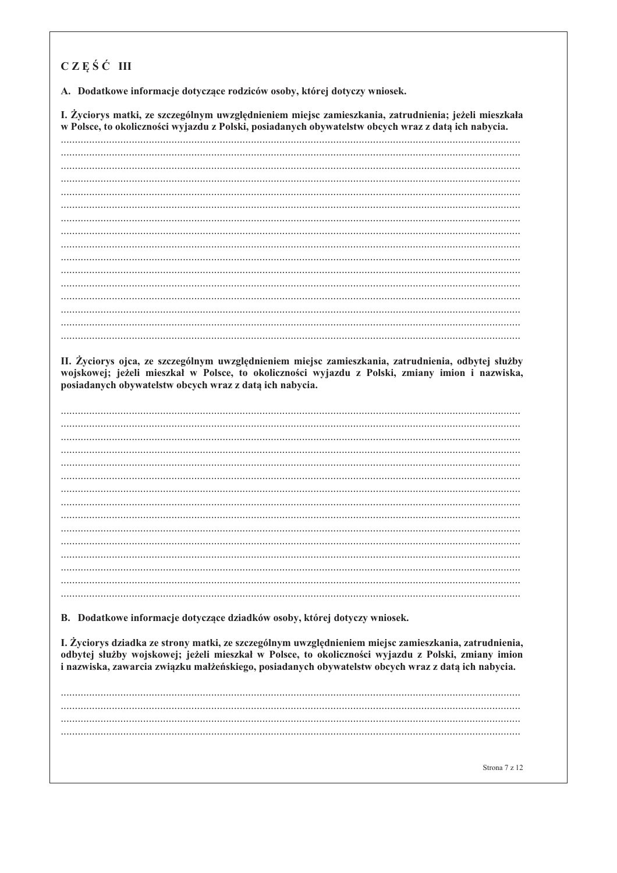## CZEŚĆ III

A. Dodatkowe informacje dotyczące rodziców osoby, której dotyczy wniosek.

I. Życiorys matki, ze szczególnym uwzględnieniem miejsc zamieszkania, zatrudnienia; jeżeli mieszkała w Polsce, to okoliczności wyjazdu z Polski, posiadanych obywatelstw obcych wraz z datą ich nabycia.

II. Życiorys ojca, ze szczególnym uwzględnieniem miejsc zamieszkania, zatrudnienia, odbytej służby wojskowej; jeżeli mieszkał w Polsce, to okoliczności wyjazdu z Polski, zmiany imion i nazwiska, posiadanych obywatelstw obcych wraz z datą ich nabycia.

B. Dodatkowe informacje dotyczące dziadków osoby, której dotyczy wniosek.

I. Życiorys dziadka ze strony matki, ze szczególnym uwzględnieniem miejsc zamieszkania, zatrudnienia, odbytej służby wojskowej; jeżeli mieszkał w Polsce, to okoliczności wyjazdu z Polski, zmiany imion i nazwiska, zawarcia związku małżeńskiego, posiadanych obywatelstw obcych wraz z datą ich nabycia.

Strona 7 z 12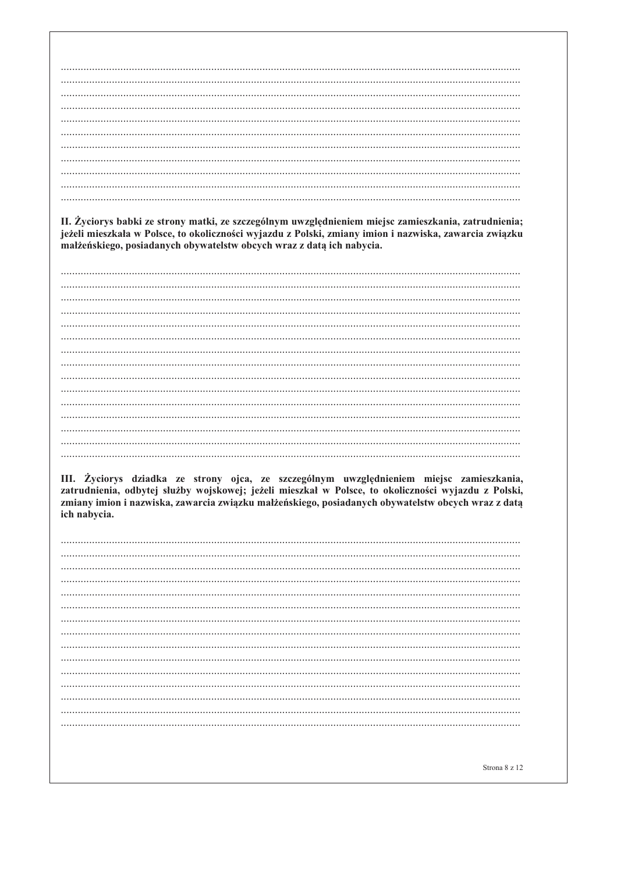II. Życiorys babki ze strony matki, ze szczególnym uwzględnieniem miejsc zamieszkania, zatrudnienia; jeżeli mieszkała w Polsce, to okoliczności wyjazdu z Polski, zmiany imion i nazwiska, zawarcia związku małżeńskiego, posiadanych obywatelstw obcych wraz z datą ich nabycia.

III. Życiorys dziadka ze strony ojca, ze szczególnym uwzględnieniem miejsc zamieszkania, zatrudnienia, odbytej służby wojskowej; jeżeli mieszkał w Polsce, to okoliczności wyjazdu z Polski, zmiany imion i nazwiska, zawarcia związku małżeńskiego, posiadanych obywatelstw obcych wraz z datą ich nabycia.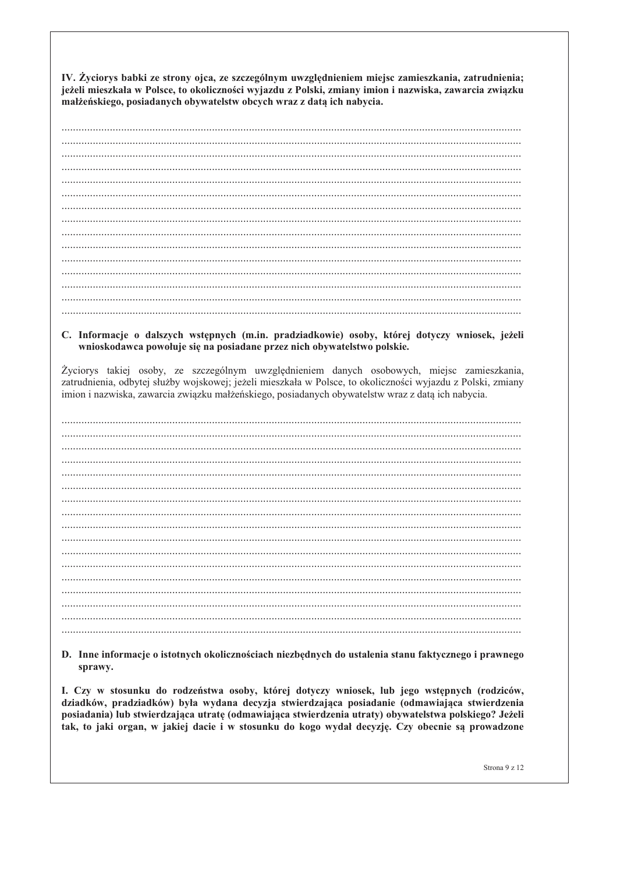IV. Życiorys babki ze strony ojca, ze szczególnym uwzględnieniem miejsc zamieszkania, zatrudnienia; jeżeli mieszkała w Polsce, to okoliczności wyjazdu z Polski, zmiany imion i nazwiska, zawarcia związku małżeńskiego, posiadanych obywatelstw obcych wraz z datą ich nabycia.

++++++++++++++++++++++++++++++++++++++++++++++++++++++++++++++++++++++++++++++++++++++++++++++++++++++++++++++++++++++++++++++++++++++++++++++++++++++++++++++++++ ++++++++++++++++++++++++++++++++++++++++++++++++++++++++++++++++++++++++++++++++++++++++++++++++++++++++++++++++++++++++++++++++++++++++++++++++++++++++++++++++++ ++++++++++++++++++++++++++++++++++++++++++++++++++++++++++++++++++++++++++++++++++++++++++++++++++++++++++++++++++++++++++++++++++++++++++++++++++++++++++++++++++ ++++++++++++++++++++++++++++++++++++++++++++++++++++++++++++++++++++++++++++++++++++++++++++++++++++++++++++++++++++++++++++++++++++++++++++++++++++++++++++++++++& ++++++++++++++++++++++++++++++++++++++++++++++++++++++++++++++++++++++++++++++++++++++++++++++++++++++++++++++++++++++++++++++++++++++++++++++++++++++++++++++++++ ++++++++++++++++++++++++++++++++++++++++++++++++++++++++++++++++++++++++++++++++++++++++++++++++++++++++++++++++++++++++++++++++++++++++++++++++++++++++++++++++++ ++++++++++++++++++++++++++++++++++++++++++++++++++++++++++++++++++++++++++++++++++++++++++++++++++++++++++++++++++++++++++++++++++++++++++++++++++++++++++++++++++ ++++++++++++++++++++++++++++++++++++++++++++++++++++++++++++++++++++++++++++++++++++++++++++++++++++++++++++++++++++++++++++++++++++++++++++++++++++++++++++++++++& ++++++++++++++++++++++++++++++++++++++++++++++++++++++++++++++++++++++++++++++++++++++++++++++++++++++++++++++++++++++++++++++++++++++++++++++++++++++++++++++++++ ++++++++++++++++++++++++++++++++++++++++++++++++++++++++++++++++++++++++++++++++++++++++++++++++++++++++++++++++++++++++++++++++++++++++++++++++++++++++++++++++++ ++++++++++++++++++++++++++++++++++++++++++++++++++++++++++++++++++++++++++++++++++++++++++++++++++++++++++++++++++++++++++++++++++++++++++++++++++++++++++++++++++ ++++++++++++++++++++++++++++++++++++++++++++++++++++++++++++++++++++++++++++++++++++++++++++++++++++++++++++++++++++++++++++++++++++++++++++++++++++++++++++++++++& ++++++++++++++++++++++++++++++++++++++++++++++++++++++++++++++++++++++++++++++++++++++++++++++++++++++++++++++++++++++++++++++++++++++++++++++++++++++++++++++++++ ++++++++++++++++++++++++++++++++++++++++++++++++++++++++++++++++++++++++++++++++++++++++++++++++++++++++++++++++++++++++++++++++++++++++++++++++++++++++++++++++++ ++++++++++++++++++++++++++++++++++++++++++++++++++++++++++++++++++++++++++++++++++++++++++++++++++++++++++++++++++++++++++++++++++++++++++++++++++++++++++++++++++&

#### C. Informacje o dalszych wstępnych (m.in. pradziadkowie) osoby, której dotyczy wniosek, jeżeli  $1$  wnioskodawca powołuje się na posiadane przez nich obywatelstwo polskie.

Życiorys takiej osoby, ze szczególnym uwzględnieniem danych osobowych, miejsc zamieszkania, zatrudnienia, odbytej służby wojskowej; jeżeli mieszkała w Polsce, to okoliczności wyjazdu z Polski, zmiany imion i nazwiska, zawarcia związku małżeńskiego, posiadanych obywatelstw wraz z datą ich nabycia.

BBBBBBBBBBBBBBBBBBBBBBBBBBBBBBBBBBBBBBBBBBBBBBBBBBBBBBBBBBBBBBBBBBBBBBBBBBBBBBBBBBBBBBBBBBBBBBBBBBBBBBBBBBBBBBBBBBBBBBBBBBBBBBBBBBBBBBBBBBBBBBBBBBBBBBBBBBBBBBBBBB BBBBBBBBBBBBBBBBBBBBBBBBBBBBBBBBBBBBBBBBBBBBBBBBBBBBBBBBBBBBBBBBBBBBBBBBBBBBBBBBBBBBBBBBBBBBBBBBBBBBBBBBBBBBBBBBBBBBBBBBBBBBBBBBBBBBBBBBBBBBBBBBBBBBBBBBBBBBBBBBBB BBBBBBBBBBBBBBBBBBBBBBBBBBBBBBBBBBBBBBBBBBBBBBBBBBBBBBBBBBBBBBBBBBBBBBBBBBBBBBBBBBBBBBBBBBBBBBBBBBBBBBBBBBBBBBBBBBBBBBBBBBBBBBBBBBBBBBBBBBBBBBBBBBBBBBBBBBBBBBBBBB BBBBBBBBBBBBBBBBBBBBBBBBBBBBBBBBBBBBBBBBBBBBBBBBBBBBBBBBBBBBBBBBBBBBBBBBBBBBBBBBBBBBBBBBBBBBBBBBBBBBBBBBBBBBBBBBBBBBBBBBBBBBBBBBBBBBBBBBBBBBBBBBBBBBBBBBBBBBBBBBBB BBBBBBBBBBBBBBBBBBBBBBBBBBBBBBBBBBBBBBBBBBBBBBBBBBBBBBBBBBBBBBBBBBBBBBBBBBBBBBBBBBBBBBBBBBBBBBBBBBBBBBBBBBBBBBBBBBBBBBBBBBBBBBBBBBBBBBBBBBBBBBBBBBBBBBBBBBBBBBBBBB BBBBBBBBBBBBBBBBBBBBBBBBBBBBBBBBBBBBBBBBBBBBBBBBBBBBBBBBBBBBBBBBBBBBBBBBBBBBBBBBBBBBBBBBBBBBBBBBBBBBBBBBBBBBBBBBBBBBBBBBBBBBBBBBBBBBBBBBBBBBBBBBBBBBBBBBBBBBBBBBBB BBBBBBBBBBBBBBBBBBBBBBBBBBBBBBBBBBBBBBBBBBBBBBBBBBBBBBBBBBBBBBBBBBBBBBBBBBBBBBBBBBBBBBBBBBBBBBBBBBBBBBBBBBBBBBBBBBBBBBBBBBBBBBBBBBBBBBBBBBBBBBBBBBBBBBBBBBBBBBBBBB BBBBBBBBBBBBBBBBBBBBBBBBBBBBBBBBBBBBBBBBBBBBBBBBBBBBBBBBBBBBBBBBBBBBBBBBBBBBBBBBBBBBBBBBBBBBBBBBBBBBBBBBBBBBBBBBBBBBBBBBBBBBBBBBBBBBBBBBBBBBBBBBBBBBBBBBBBBBBBBBBB BBBBBBBBBBBBBBBBBBBBBBBBBBBBBBBBBBBBBBBBBBBBBBBBBBBBBBBBBBBBBBBBBBBBBBBBBBBBBBBBBBBBBBBBBBBBBBBBBBBBBBBBBBBBBBBBBBBBBBBBBBBBBBBBBBBBBBBBBBBBBBBBBBBBBBBBBBBBBBBBBB BBBBBBBBBBBBBBBBBBBBBBBBBBBBBBBBBBBBBBBBBBBBBBBBBBBBBBBBBBBBBBBBBBBBBBBBBBBBBBBBBBBBBBBBBBBBBBBBBBBBBBBBBBBBBBBBBBBBBBBBBBBBBBBBBBBBBBBBBBBBBBBBBBBBBBBBBBBBBBBBBB BBBBBBBBBBBBBBBBBBBBBBBBBBBBBBBBBBBBBBBBBBBBBBBBBBBBBBBBBBBBBBBBBBBBBBBBBBBBBBBBBBBBBBBBBBBBBBBBBBBBBBBBBBBBBBBBBBBBBBBBBBBBBBBBBBBBBBBBBBBBBBBBBBBBBBBBBBBBBBBBBB BBBBBBBBBBBBBBBBBBBBBBBBBBBBBBBBBBBBBBBBBBBBBBBBBBBBBBBBBBBBBBBBBBBBBBBBBBBBBBBBBBBBBBBBBBBBBBBBBBBBBBBBBBBBBBBBBBBBBBBBBBBBBBBBBBBBBBBBBBBBBBBBBBBBBBBBBBBBBBBBBB BBBBBBBBBBBBBBBBBBBBBBBBBBBBBBBBBBBBBBBBBBBBBBBBBBBBBBBBBBBBBBBBBBBBBBBBBBBBBBBBBBBBBBBBBBBBBBBBBBBBBBBBBBBBBBBBBBBBBBBBBBBBBBBBBBBBBBBBBBBBBBBBBBBBBBBBBBBBBBBBBB BBBBBBBBBBBBBBBBBBBBBBBBBBBBBBBBBBBBBBBBBBBBBBBBBBBBBBBBBBBBBBBBBBBBBBBBBBBBBBBBBBBBBBBBBBBBBBBBBBBBBBBBBBBBBBBBBBBBBBBBBBBBBBBBBBBBBBBBBBBBBBBBBBBBBBBBBBBBBBBBBB BBBBBBBBBBBBBBBBBBBBBBBBBBBBBBBBBBBBBBBBBBBBBBBBBBBBBBBBBBBBBBBBBBBBBBBBBBBBBBBBBBBBBBBBBBBBBBBBBBBBBBBBBBBBBBBBBBBBBBBBBBBBBBBBBBBBBBBBBBBBBBBBBBBBBBBBBBBBBBBBBB BBBBBBBBBBBBBBBBBBBBBBBBBBBBBBBBBBBBBBBBBBBBBBBBBBBBBBBBBBBBBBBBBBBBBBBBBBBBBBBBBBBBBBBBBBBBBBBBBBBBBBBBBBBBBBBBBBBBBBBBBBBBBBBBBBBBBBBBBBBBBBBBBBBBBBBBBBBBBBBBBB BBBBBBBBBBBBBBBBBBBBBBBBBBBBBBBBBBBBBBBBBBBBBBBBBBBBBBBBBBBBBBBBBBBBBBBBBBBBBBBBBBBBBBBBBBBBBBBBBBBBBBBBBBBBBBBBBBBBBBBBBBBBBBBBBBBBBBBBBBBBBBBBBBBBBBBBBBBBBBBBBB

D. Inne informacje o istotnych okolicznościach niezbędnych do ustalenia stanu faktycznego i prawnego sprawy.

I. Czy w stosunku do rodzeństwa osoby, której dotyczy wniosek, lub jego wstępnych (rodziców, dziadków, pradziadków) była wydana decyzja stwierdzająca posiadanie (odmawiająca stwierdzenia posiadania) lub stwierdzająca utratę (odmawiająca stwierdzenia utraty) obywatelstwa polskiego? Jeżeli tak, to jaki organ, w jakiej dacie i w stosunku do kogo wydał decyzję. Czy obecnie są prowadzone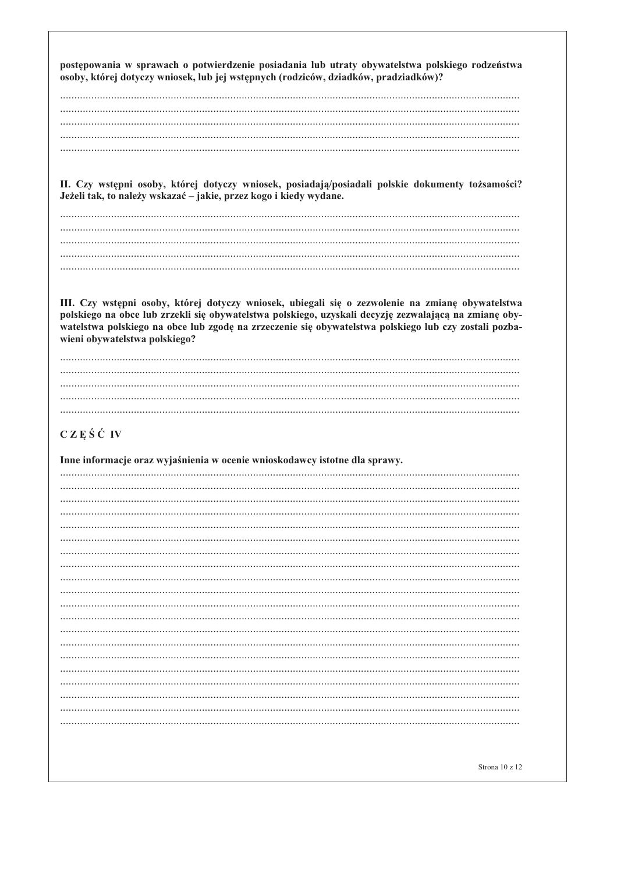postępowania w sprawach o potwierdzenie posiadania lub utraty obywatelstwa polskiego rodzeństwa osoby, której dotyczy wniosek, lub jej wstępnych (rodziców, dziadków, pradziadków)?

II. Czy wstępni osoby, której dotyczy wniosek, posiadają/posiadali polskie dokumenty tożsamości? Jeżeli tak, to należy wskazać – jakie, przez kogo i kiedy wydane.

III. Czy wstępni osoby, której dotyczy wniosek, ubiegali się o zezwolenie na zmianę obywatelstwa polskiego na obce lub zrzekli się obywatelstwa polskiego, uzyskali decyzję zezwalającą na zmianę obywatelstwa polskiego na obce lub zgodę na zrzeczenie się obywatelstwa polskiego lub czy zostali pozbawieni obywatelstwa polskiego?

# $CZE S C V$

Inne informacje oraz wyjaśnienia w ocenie wnioskodawcy istotne dla sprawy.

 $\ddotsc$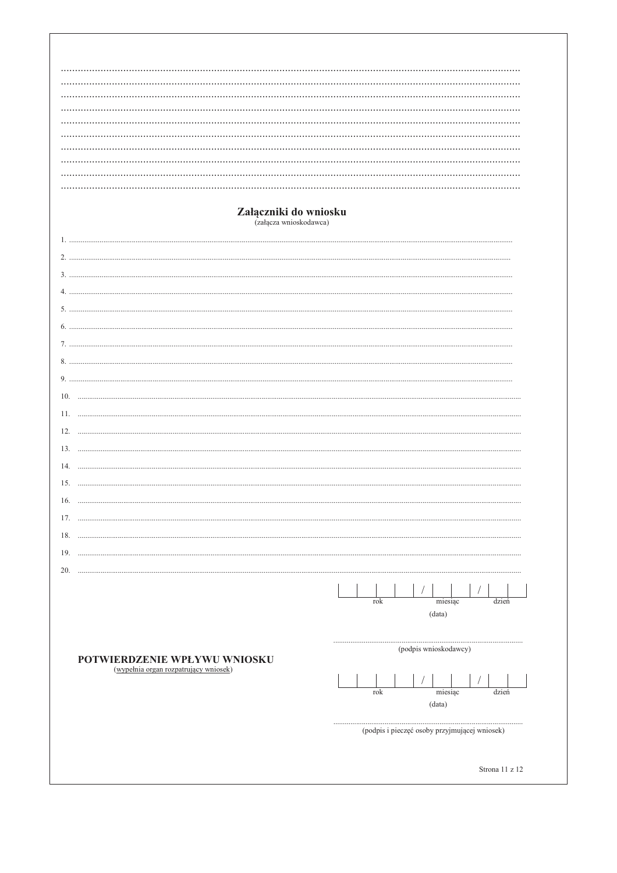| Załączniki do wniosku                                                 |                                               |
|-----------------------------------------------------------------------|-----------------------------------------------|
| (załącza wnioskodawca)                                                |                                               |
|                                                                       |                                               |
|                                                                       |                                               |
|                                                                       |                                               |
|                                                                       |                                               |
|                                                                       |                                               |
|                                                                       |                                               |
|                                                                       |                                               |
|                                                                       |                                               |
|                                                                       |                                               |
|                                                                       |                                               |
| 10.                                                                   |                                               |
| 11.                                                                   |                                               |
|                                                                       |                                               |
| 12.                                                                   |                                               |
|                                                                       |                                               |
| 14.                                                                   |                                               |
| 15.                                                                   |                                               |
| 16.                                                                   |                                               |
| 17.                                                                   |                                               |
| 18.                                                                   |                                               |
| 19.<br>.                                                              |                                               |
| 20.                                                                   |                                               |
|                                                                       |                                               |
|                                                                       | miesiąc<br>dzień<br>rok                       |
|                                                                       | (data)                                        |
|                                                                       |                                               |
| POTWIERDZENIE WPŁYWU WNIOSKU<br>(wypełnia organ rozpatrujący wniosek) |                                               |
|                                                                       | (podpis wnioskodawcy)                         |
|                                                                       |                                               |
|                                                                       | miesiąc<br>dzień<br>rok                       |
|                                                                       | (data)                                        |
|                                                                       |                                               |
|                                                                       | (podpis i pieczęć osoby przyjmującej wniosek) |
|                                                                       |                                               |
|                                                                       | Strona 11 z 12                                |
|                                                                       |                                               |